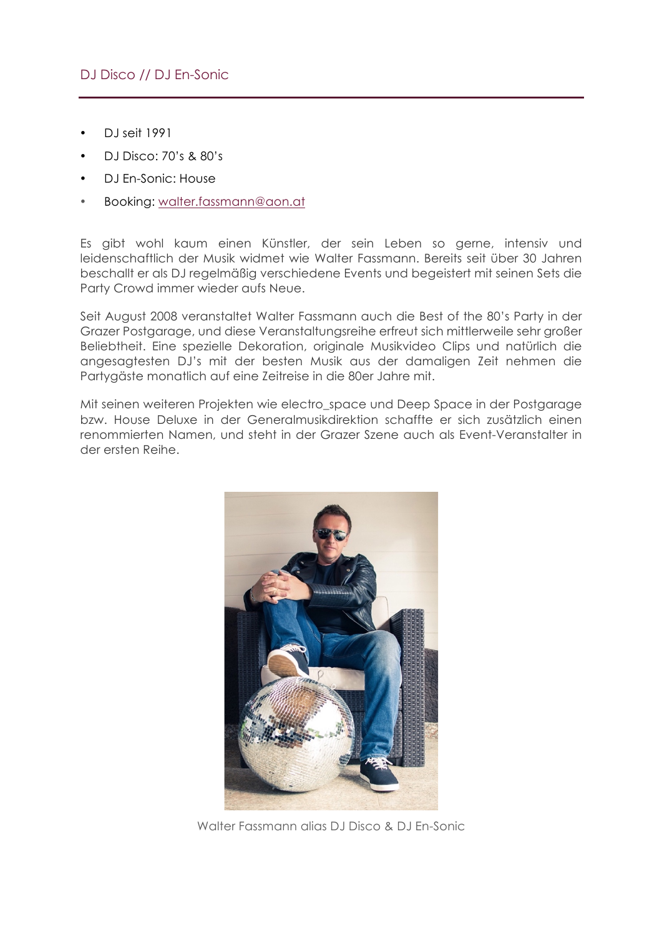- DJ seit 1991
- DJ Disco: 70's & 80's
- DJ En-Sonic: House
- Booking: walter.fassmann@aon.at

Es gibt wohl kaum einen Künstler, der sein Leben so gerne, intensiv und leidenschaftlich der Musik widmet wie Walter Fassmann. Bereits seit über 30 Jahren beschallt er als DJ regelmäßig verschiedene Events und begeistert mit seinen Sets die Party Crowd immer wieder aufs Neue.

Seit August 2008 veranstaltet Walter Fassmann auch die Best of the 80's Party in der Grazer Postgarage, und diese Veranstaltungsreihe erfreut sich mittlerweile sehr großer Beliebtheit. Eine spezielle Dekoration, originale Musikvideo Clips und natürlich die angesagtesten DJ's mit der besten Musik aus der damaligen Zeit nehmen die Partygäste monatlich auf eine Zeitreise in die 80er Jahre mit.

Mit seinen weiteren Projekten wie electro\_space und Deep Space in der Postgarage bzw. House Deluxe in der Generalmusikdirektion schaffte er sich zusätzlich einen renommierten Namen, und steht in der Grazer Szene auch als Event-Veranstalter in der ersten Reihe.



Walter Fassmann alias DJ Disco & DJ En-Sonic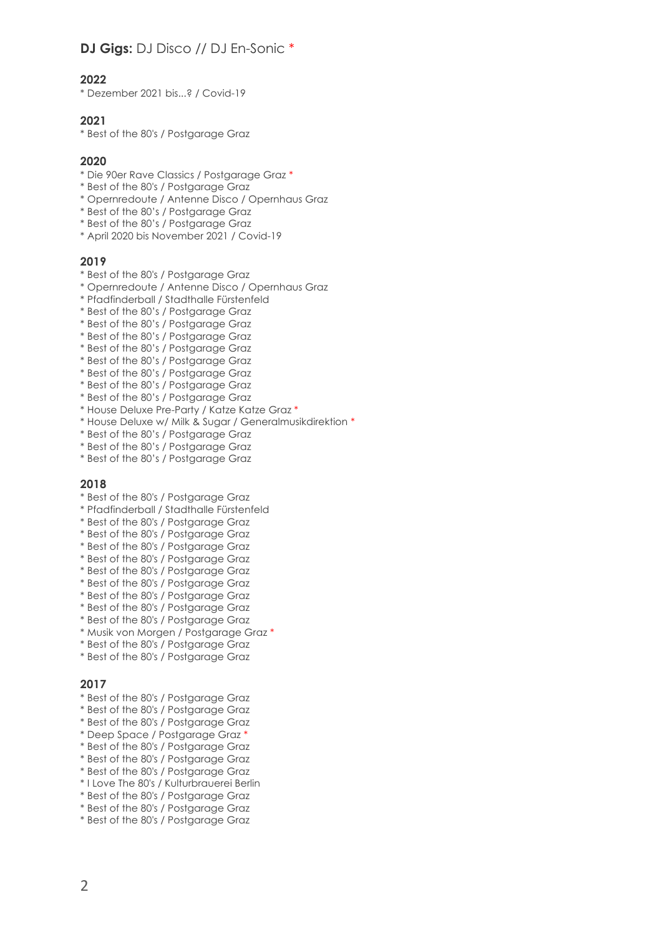# **DJ Gigs:** DJ Disco // DJ En-Sonic \*

### **2022**

\* Dezember 2021 bis...? / Covid-19

## **2021**

\* Best of the 80's / Postgarage Graz

### **2020**

- \* Die 90er Rave Classics / Postgarage Graz \*
- \* Best of the 80's / Postgarage Graz
- \* Opernredoute / Antenne Disco / Opernhaus Graz
- \* Best of the 80's / Postgarage Graz
- \* Best of the 80's / Postgarage Graz
- \* April 2020 bis November 2021 / Covid-19

### **2019**

- \* Best of the 80's / Postgarage Graz
- \* Opernredoute / Antenne Disco / Opernhaus Graz
- \* Pfadfinderball / Stadthalle Fürstenfeld
- \* Best of the 80's / Postgarage Graz
- \* Best of the 80's / Postgarage Graz
- \* Best of the 80's / Postgarage Graz
- \* Best of the 80's / Postgarage Graz
- \* Best of the 80's / Postgarage Graz
- \* Best of the 80's / Postgarage Graz
- \* Best of the 80's / Postgarage Graz
- \* Best of the 80's / Postgarage Graz
- \* House Deluxe Pre-Party / Katze Katze Graz \*
- \* House Deluxe w/ Milk & Sugar / Generalmusikdirektion \*
- \* Best of the 80's / Postgarage Graz
- \* Best of the 80's / Postgarage Graz
- \* Best of the 80's / Postgarage Graz

### **2018**

- \* Best of the 80's / Postgarage Graz
- \* Pfadfinderball / Stadthalle Fürstenfeld
- \* Best of the 80's / Postgarage Graz
- \* Best of the 80's / Postgarage Graz
- \* Best of the 80's / Postgarage Graz
- \* Best of the 80's / Postgarage Graz
- \* Best of the 80's / Postgarage Graz
- \* Best of the 80's / Postgarage Graz
- \* Best of the 80's / Postgarage Graz
- \* Best of the 80's / Postgarage Graz
- \* Best of the 80's / Postgarage Graz
- \* Musik von Morgen / Postgarage Graz \*
- \* Best of the 80's / Postgarage Graz
- \* Best of the 80's / Postgarage Graz

- \* Best of the 80's / Postgarage Graz
- \* Best of the 80's / Postgarage Graz
- \* Best of the 80's / Postgarage Graz
- \* Deep Space / Postgarage Graz \*
- \* Best of the 80's / Postgarage Graz
- \* Best of the 80's / Postgarage Graz
- \* Best of the 80's / Postgarage Graz
- \* I Love The 80's / Kulturbrauerei Berlin
- \* Best of the 80's / Postgarage Graz
- \* Best of the 80's / Postgarage Graz
- \* Best of the 80's / Postgarage Graz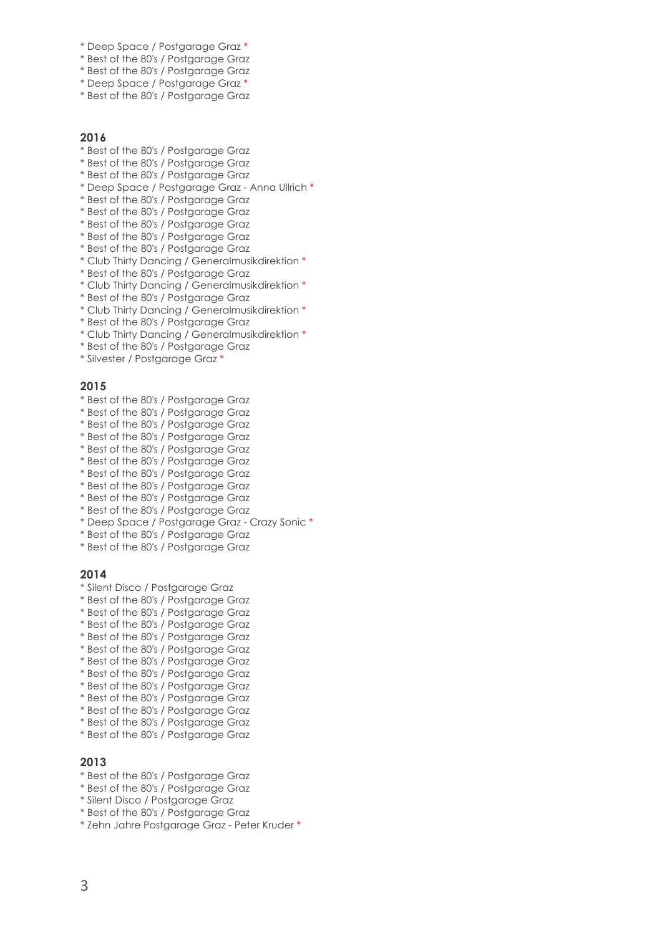- \* Deep Space / Postgarage Graz \*
- \* Best of the 80's / Postgarage Graz
- \* Best of the 80's / Postgarage Graz
- \* Deep Space / Postgarage Graz \*
- \* Best of the 80's / Postgarage Graz

- \* Best of the 80's / Postgarage Graz
- \* Best of the 80's / Postgarage Graz
- \* Best of the 80's / Postgarage Graz
- \* Deep Space / Postgarage Graz Anna Ullrich \*
- \* Best of the 80's / Postgarage Graz
- \* Best of the 80's / Postgarage Graz
- \* Best of the 80's / Postgarage Graz
- \* Best of the 80's / Postgarage Graz
- \* Best of the 80's / Postgarage Graz
- \* Club Thirty Dancing / Generalmusikdirektion \*
- \* Best of the 80's / Postgarage Graz
- \* Club Thirty Dancing / Generalmusikdirektion \*
- \* Best of the 80's / Postgarage Graz
- \* Club Thirty Dancing / Generalmusikdirektion \*
- \* Best of the 80's / Postgarage Graz
- \* Club Thirty Dancing / Generalmusikdirektion \*
- \* Best of the 80's / Postgarage Graz
- \* Silvester / Postgarage Graz \*

### **2015**

- \* Best of the 80's / Postgarage Graz
- \* Best of the 80's / Postgarage Graz
- \* Best of the 80's / Postgarage Graz
- \* Best of the 80's / Postgarage Graz
- \* Best of the 80's / Postgarage Graz
- \* Best of the 80's / Postgarage Graz
- \* Best of the 80's / Postgarage Graz
- \* Best of the 80's / Postgarage Graz
- \* Best of the 80's / Postgarage Graz
- \* Best of the 80's / Postgarage Graz
- \* Deep Space / Postgarage Graz Crazy Sonic \*
- \* Best of the 80's / Postgarage Graz
- \* Best of the 80's / Postgarage Graz

### **2014**

- \* Silent Disco / Postgarage Graz
- \* Best of the 80's / Postgarage Graz
- \* Best of the 80's / Postgarage Graz
- \* Best of the 80's / Postgarage Graz
- \* Best of the 80's / Postgarage Graz
- \* Best of the 80's / Postgarage Graz
- \* Best of the 80's / Postgarage Graz
- \* Best of the 80's / Postgarage Graz
- \* Best of the 80's / Postgarage Graz
- \* Best of the 80's / Postgarage Graz \* Best of the 80's / Postgarage Graz
- \* Best of the 80's / Postgarage Graz
- \* Best of the 80's / Postgarage Graz

- \* Best of the 80's / Postgarage Graz
- \* Best of the 80's / Postgarage Graz
- \* Silent Disco / Postgarage Graz
- \* Best of the 80's / Postgarage Graz
- \* Zehn Jahre Postgarage Graz Peter Kruder \*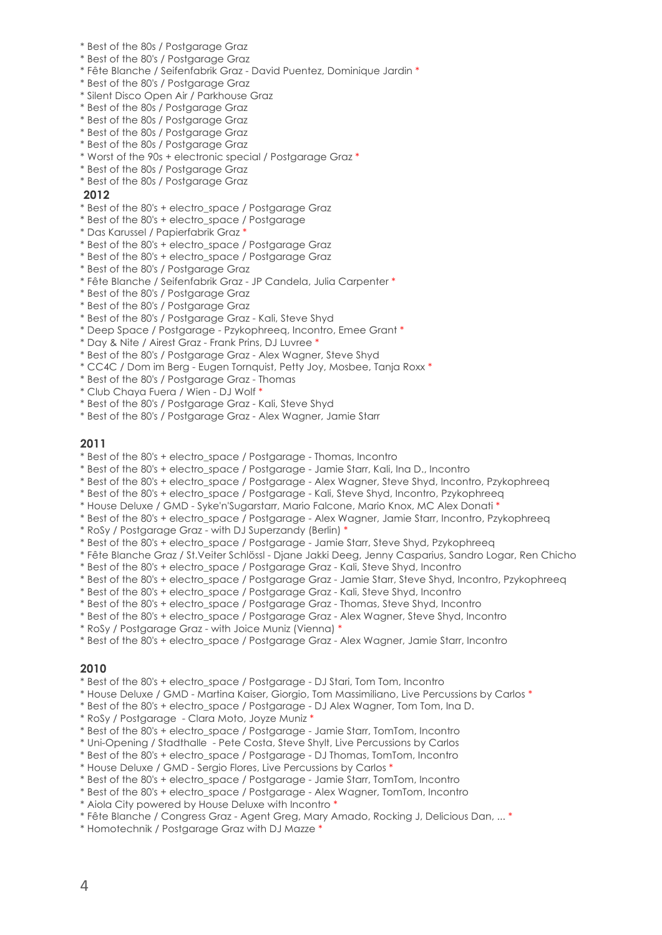- \* Best of the 80s / Postgarage Graz
- \* Best of the 80's / Postgarage Graz
- \* Fête Blanche / Seifenfabrik Graz David Puentez, Dominique Jardin \*
- \* Best of the 80's / Postgarage Graz
- \* Silent Disco Open Air / Parkhouse Graz
- \* Best of the 80s / Postgarage Graz
- \* Best of the 80s / Postgarage Graz
- \* Best of the 80s / Postgarage Graz
- \* Best of the 80s / Postgarage Graz
- \* Worst of the 90s + electronic special / Postgarage Graz \*
- \* Best of the 80s / Postgarage Graz
- \* Best of the 80s / Postgarage Graz

- \* Best of the 80's + electro\_space / Postgarage Graz
- \* Best of the 80's + electro\_space / Postgarage
- \* Das Karussel / Papierfabrik Graz \*
- \* Best of the 80's + electro\_space / Postgarage Graz
- \* Best of the 80's + electro\_space / Postgarage Graz
- \* Best of the 80's / Postgarage Graz
- \* Fête Blanche / Seifenfabrik Graz JP Candela, Julia Carpenter \*
- \* Best of the 80's / Postgarage Graz
- \* Best of the 80's / Postgarage Graz
- \* Best of the 80's / Postgarage Graz Kali, Steve Shyd
- \* Deep Space / Postgarage Pzykophreeq, Incontro, Emee Grant \*
- \* Day & Nite / Airest Graz Frank Prins, DJ Luvree \*
- \* Best of the 80's / Postgarage Graz Alex Wagner, Steve Shyd
- \* CC4C / Dom im Berg Eugen Tornquist, Petty Joy, Mosbee, Tanja Roxx \*
- \* Best of the 80's / Postgarage Graz Thomas
- \* Club Chaya Fuera / Wien DJ Wolf \*
- \* Best of the 80's / Postgarage Graz Kali, Steve Shyd
- \* Best of the 80's / Postgarage Graz Alex Wagner, Jamie Starr

### **2011**

- \* Best of the 80's + electro\_space / Postgarage Thomas, Incontro
- \* Best of the 80's + electro\_space / Postgarage Jamie Starr, Kali, Ina D., Incontro
- \* Best of the 80's + electro\_space / Postgarage Alex Wagner, Steve Shyd, Incontro, Pzykophreeq
- \* Best of the 80's + electro\_space / Postgarage Kali, Steve Shyd, Incontro, Pzykophreeq
- \* House Deluxe / GMD Syke'n'Sugarstarr, Mario Falcone, Mario Knox, MC Alex Donati \*
- \* Best of the 80's + electro\_space / Postgarage Alex Wagner, Jamie Starr, Incontro, Pzykophreeq
- \* RoSy / Postgarage Graz with DJ Superzandy (Berlin) \*
- \* Best of the 80's + electro\_space / Postgarage Jamie Starr, Steve Shyd, Pzykophreeq
- \* Fête Blanche Graz / St.Veiter Schlössl Djane Jakki Deeg, Jenny Casparius, Sandro Logar, Ren Chicho
- \* Best of the 80's + electro\_space / Postgarage Graz Kali, Steve Shyd, Incontro
- \* Best of the 80's + electro\_space / Postgarage Graz Jamie Starr, Steve Shyd, Incontro, Pzykophreeq
- \* Best of the 80's + electro\_space / Postgarage Graz Kali, Steve Shyd, Incontro
- \* Best of the 80's + electro\_space / Postgarage Graz Thomas, Steve Shyd, Incontro
- \* Best of the 80's + electro\_space / Postgarage Graz Alex Wagner, Steve Shyd, Incontro
- \* RoSy / Postgarage Graz with Joice Muniz (Vienna) \*
- \* Best of the 80's + electro\_space / Postgarage Graz Alex Wagner, Jamie Starr, Incontro

- \* Best of the 80's + electro\_space / Postgarage DJ Stari, Tom Tom, Incontro
- \* House Deluxe / GMD Martina Kaiser, Giorgio, Tom Massimiliano, Live Percussions by Carlos \*
- \* Best of the 80's + electro\_space / Postgarage DJ Alex Wagner, Tom Tom, Ina D.
- \* RoSy / Postgarage Clara Moto, Joyze Muniz \*
- \* Best of the 80's + electro\_space / Postgarage Jamie Starr, TomTom, Incontro
- \* Uni-Opening / Stadthalle Pete Costa, Steve Shylt, Live Percussions by Carlos
- \* Best of the 80's + electro\_space / Postgarage DJ Thomas, TomTom, Incontro
- \* House Deluxe / GMD Sergio Flores, Live Percussions by Carlos \*
- \* Best of the 80's + electro\_space / Postgarage Jamie Starr, TomTom, Incontro
- \* Best of the 80's + electro\_space / Postgarage Alex Wagner, TomTom, Incontro
- \* Aiola City powered by House Deluxe with Incontro \*
- \* Fête Blanche / Congress Graz Agent Greg, Mary Amado, Rocking J, Delicious Dan, ... \*
- \* Homotechnik / Postgarage Graz with DJ Mazze \*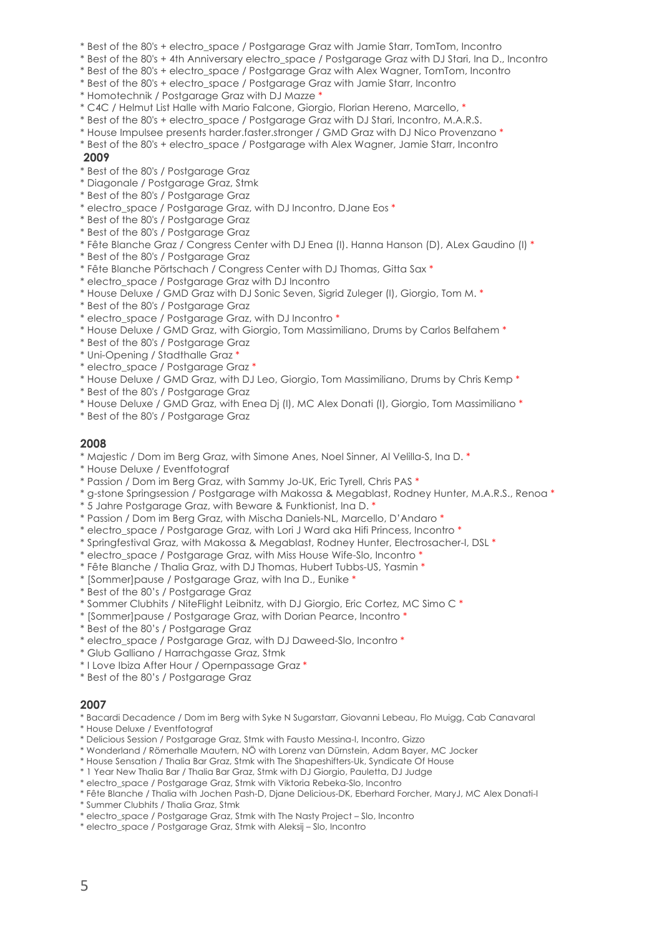- \* Best of the 80's + electro\_space / Postgarage Graz with Jamie Starr, TomTom, Incontro
- \* Best of the 80's + 4th Anniversary electro\_space / Postgarage Graz with DJ Stari, Ina D., Incontro
- \* Best of the 80's + electro\_space / Postgarage Graz with Alex Wagner, TomTom, Incontro
- \* Best of the 80's + electro\_space / Postgarage Graz with Jamie Starr, Incontro
- \* Homotechnik / Postgarage Graz with DJ Mazze \*
- \* C4C / Helmut List Halle with Mario Falcone, Giorgio, Florian Hereno, Marcello, \*
- \* Best of the 80's + electro\_space / Postgarage Graz with DJ Stari, Incontro, M.A.R.S.
- \* House Impulsee presents harder.faster.stronger / GMD Graz with DJ Nico Provenzano \*
- \* Best of the 80's + electro\_space / Postgarage with Alex Wagner, Jamie Starr, Incontro

- \* Best of the 80's / Postgarage Graz
- \* Diagonale / Postgarage Graz, Stmk
- \* Best of the 80's / Postgarage Graz
- \* electro\_space / Postgarage Graz, with DJ Incontro, DJane Eos \*
- \* Best of the 80's / Postgarage Graz
- \* Best of the 80's / Postgarage Graz
- \* Fête Blanche Graz / Congress Center with DJ Enea (I). Hanna Hanson (D), ALex Gaudino (I) \*
- \* Best of the 80's / Postgarage Graz
- \* Fête Blanche Pörtschach / Congress Center with DJ Thomas, Gitta Sax \*
- \* electro\_space / Postgarage Graz with DJ Incontro
- \* House Deluxe / GMD Graz with DJ Sonic Seven, Sigrid Zuleger (I), Giorgio, Tom M. \*
- \* Best of the 80's / Postgarage Graz
- \* electro\_space / Postgarage Graz, with DJ Incontro \*
- \* House Deluxe / GMD Graz, with Giorgio, Tom Massimiliano, Drums by Carlos Belfahem \*
- \* Best of the 80's / Postgarage Graz
- \* Uni-Opening / Stadthalle Graz \*
- \* electro\_space / Postgarage Graz \*
- \* House Deluxe / GMD Graz, with DJ Leo, Giorgio, Tom Massimiliano, Drums by Chris Kemp \*
- \* Best of the 80's / Postgarage Graz
- \* House Deluxe / GMD Graz, with Enea Dj (I), MC Alex Donati (I), Giorgio, Tom Massimiliano \*
- \* Best of the 80's / Postgarage Graz

### **2008**

- \* Majestic / Dom im Berg Graz, with Simone Anes, Noel Sinner, Al Velilla-S, Ina D. \*
- \* House Deluxe / Eventfotograf
- \* Passion / Dom im Berg Graz, with Sammy Jo-UK, Eric Tyrell, Chris PAS \*
- \* g-stone Springsession / Postgarage with Makossa & Megablast, Rodney Hunter, M.A.R.S., Renoa \*
- \* 5 Jahre Postgarage Graz, with Beware & Funktionist, Ina D. \*
- \* Passion / Dom im Berg Graz, with Mischa Daniels-NL, Marcello, D'Andaro \*
- \* electro\_space / Postgarage Graz, with Lori J Ward aka Hifi Princess, Incontro \*
- \* Springfestival Graz, with Makossa & Megablast, Rodney Hunter, Electrosacher-I, DSL \*
- \* electro\_space / Postgarage Graz, with Miss House Wife-Slo, Incontro \*
- \* Fête Blanche / Thalia Graz, with DJ Thomas, Hubert Tubbs-US, Yasmin \*
- \* [Sommer]pause / Postgarage Graz, with Ina D., Eunike \*
- \* Best of the 80's / Postgarage Graz
- \* Sommer Clubhits / NiteFlight Leibnitz, with DJ Giorgio, Eric Cortez, MC Simo C \*
- \* [Sommer]pause / Postgarage Graz, with Dorian Pearce, Incontro \*
- \* Best of the 80's / Postgarage Graz
- \* electro\_space / Postgarage Graz, with DJ Daweed-Slo, Incontro \*
- \* Glub Galliano / Harrachgasse Graz, Stmk
- \* I Love Ibiza After Hour / Opernpassage Graz \*
- \* Best of the 80's / Postgarage Graz

#### **2007**

\* Bacardi Decadence / Dom im Berg with Syke N Sugarstarr, Giovanni Lebeau, Flo Muigg, Cab Canavaral

- \* House Deluxe / Eventfotograf
- \* Delicious Session / Postgarage Graz, Stmk with Fausto Messina-I, Incontro, Gizzo
- \* Wonderland / Römerhalle Mautern, NÖ with Lorenz van Dürnstein, Adam Bayer, MC Jocker
- \* House Sensation / Thalia Bar Graz, Stmk with The Shapeshifters-Uk, Syndicate Of House
- \* 1 Year New Thalia Bar / Thalia Bar Graz, Stmk with DJ Giorgio, Pauletta, DJ Judge
- \* electro\_space / Postgarage Graz, Stmk with Viktoria Rebeka-Slo, Incontro
- \* Fête Blanche / Thalia with Jochen Pash-D, Djane Delicious-DK, Eberhard Forcher, MaryJ, MC Alex Donati-I
- \* Summer Clubhits / Thalia Graz, Stmk
- \* electro\_space / Postgarage Graz, Stmk with The Nasty Project Slo, Incontro
- \* electro\_space / Postgarage Graz, Stmk with Aleksij Slo, Incontro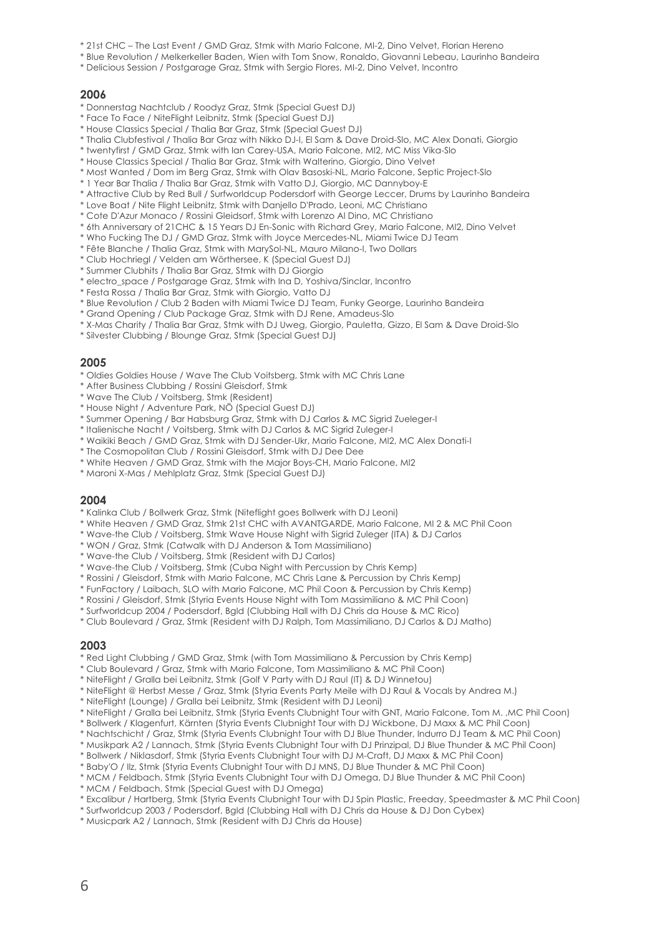- \* 21st CHC The Last Event / GMD Graz, Stmk with Mario Falcone, MI-2, Dino Velvet, Florian Hereno
- \* Blue Revolution / Melkerkeller Baden, Wien with Tom Snow, Ronaldo, Giovanni Lebeau, Laurinho Bandeira
- \* Delicious Session / Postgarage Graz, Stmk with Sergio Flores, MI-2, Dino Velvet, Incontro

- \* Donnerstag Nachtclub / Roodyz Graz, Stmk (Special Guest DJ)
- \* Face To Face / NiteFlight Leibnitz, Stmk (Special Guest DJ)
- \* House Classics Special / Thalia Bar Graz, Stmk (Special Guest DJ)
- \* Thalia Clubfestival / Thalia Bar Graz with Nikko DJ-I, El Sam & Dave Droid-Slo, MC Alex Donati, Giorgio
- \* twentyfirst / GMD Graz, Stmk with Ian Carey-USA, Mario Falcone, MI2, MC Miss Vika-Slo
- \* House Classics Special / Thalia Bar Graz, Stmk with Walterino, Giorgio, Dino Velvet
- \* Most Wanted / Dom im Berg Graz, Stmk with Olav Basoski-NL, Mario Falcone, Septic Project-Slo
- \* 1 Year Bar Thalia / Thalia Bar Graz, Stmk with Vatto DJ, Giorgio, MC Dannyboy-E
- \* Attractive Club by Red Bull / Surfworldcup Podersdorf with George Leccer, Drums by Laurinho Bandeira
- \* Love Boat / Nite Flight Leibnitz, Stmk with Danjello D'Prado, Leoni, MC Christiano
- \* Cote D'Azur Monaco / Rossini Gleidsorf, Stmk with Lorenzo Al Dino, MC Christiano
- \* 6th Anniversary of 21CHC & 15 Years DJ En-Sonic with Richard Grey, Mario Falcone, MI2, Dino Velvet
- \* Who Fucking The DJ / GMD Graz, Stmk with Joyce Mercedes-NL, Miami Twice DJ Team
- \* Fête Blanche / Thalia Graz, Stmk with MarySol-NL, Mauro Milano-I, Two Dollars
- \* Club Hochriegl / Velden am Wörthersee, K (Special Guest DJ)
- \* Summer Clubhits / Thalia Bar Graz, Stmk with DJ Giorgio
- \* electro\_space / Postgarage Graz, Stmk with Ina D, Yoshiva/Sinclar, Incontro
- \* Festa Rossa / Thalia Bar Graz, Stmk with Giorgio, Vatto DJ
- \* Blue Revolution / Club 2 Baden with Miami Twice DJ Team, Funky George, Laurinho Bandeira
- \* Grand Opening / Club Package Graz, Stmk with DJ Rene, Amadeus-Slo
- \* X-Mas Charity / Thalia Bar Graz, Stmk with DJ Uweg, Giorgio, Pauletta, Gizzo, El Sam & Dave Droid-Slo
- \* Silvester Clubbing / Blounge Graz, Stmk (Special Guest DJ)

#### **2005**

- \* Oldies Goldies House / Wave The Club Voitsberg, Stmk with MC Chris Lane
- \* After Business Clubbing / Rossini Gleisdorf, Stmk
- \* Wave The Club / Voitsberg, Stmk (Resident)
- \* House Night / Adventure Park, NÖ (Special Guest DJ)
- \* Summer Opening / Bar Habsburg Graz, Stmk with DJ Carlos & MC Sigrid Zueleger-I
- \* Italienische Nacht / Voitsberg, Stmk with DJ Carlos & MC Sigrid Zuleger-I
- \* Waikiki Beach / GMD Graz, Stmk with DJ Sender-Ukr, Mario Falcone, MI2, MC Alex Donati-I
- \* The Cosmopolitan Club / Rossini Gleisdorf, Stmk with DJ Dee Dee
- \* White Heaven / GMD Graz, Stmk with the Major Boys-CH, Mario Falcone, MI2
- \* Maroni X-Mas / Mehlplatz Graz, Stmk (Special Guest DJ)

#### **2004**

- \* Kalinka Club / Bollwerk Graz, Stmk (Niteflight goes Bollwerk with DJ Leoni)
- \* White Heaven / GMD Graz, Stmk 21st CHC with AVANTGARDE, Mario Falcone, MI 2 & MC Phil Coon
- \* Wave-the Club / Voitsberg, Stmk Wave House Night with Sigrid Zuleger (ITA) & DJ Carlos
- \* WON / Graz, Stmk (Catwalk with DJ Anderson & Tom Massimiliano)
- \* Wave-the Club / Voitsberg, Stmk (Resident with DJ Carlos)
- \* Wave-the Club / Voitsberg, Stmk (Cuba Night with Percussion by Chris Kemp)
- \* Rossini / Gleisdorf, Stmk with Mario Falcone, MC Chris Lane & Percussion by Chris Kemp)
- \* FunFactory / Laibach, SLO with Mario Falcone, MC Phil Coon & Percussion by Chris Kemp)
- \* Rossini / Gleisdorf, Stmk (Styria Events House Night with Tom Massimiliano & MC Phil Coon)
- \* Surfworldcup 2004 / Podersdorf, Bgld (Clubbing Hall with DJ Chris da House & MC Rico)
- \* Club Boulevard / Graz, Stmk (Resident with DJ Ralph, Tom Massimiliano, DJ Carlos & DJ Matho)

- \* Red Light Clubbing / GMD Graz, Stmk (with Tom Massimiliano & Percussion by Chris Kemp)
- \* Club Boulevard / Graz, Stmk with Mario Falcone, Tom Massimiliano & MC Phil Coon)
- \* NiteFlight / Gralla bei Leibnitz, Stmk (Golf V Party with DJ Raul (IT) & DJ Winnetou)
- \* NiteFlight @ Herbst Messe / Graz, Stmk (Styria Events Party Meile with DJ Raul & Vocals by Andrea M.)
- \* NiteFlight (Lounge) / Gralla bei Leibnitz, Stmk (Resident with DJ Leoni)
- \* NiteFlight / Gralla bei Leibnitz, Stmk (Styria Events Clubnight Tour with GNT, Mario Falcone, Tom M. ,MC Phil Coon)
- \* Bollwerk / Klagenfurt, Kärnten (Styria Events Clubnight Tour with DJ Wickbone, DJ Maxx & MC Phil Coon)
- \* Nachtschicht / Graz, Stmk (Styria Events Clubnight Tour with DJ Blue Thunder, Indurro DJ Team & MC Phil Coon)
- \* Musikpark A2 / Lannach, Stmk (Styria Events Clubnight Tour with DJ Prinzipal, DJ Blue Thunder & MC Phil Coon)
- \* Bollwerk / Niklasdorf, Stmk (Styria Events Clubnight Tour with DJ M-Craft, DJ Maxx & MC Phil Coon)
- \* Baby'O / Ilz, Stmk (Styria Events Clubnight Tour with DJ MNS, DJ Blue Thunder & MC Phil Coon)
- \* MCM / Feldbach, Stmk (Styria Events Clubnight Tour with DJ Omega, DJ Blue Thunder & MC Phil Coon)
- \* MCM / Feldbach, Stmk (Special Guest with DJ Omega)
- \* Excalibur / Hartberg, Stmk (Styria Events Clubnight Tour with DJ Spin Plastic, Freeday, Speedmaster & MC Phil Coon)
- \* Surfworldcup 2003 / Podersdorf, Bgld (Clubbing Hall with DJ Chris da House & DJ Don Cybex)
- \* Musicpark A2 / Lannach, Stmk (Resident with DJ Chris da House)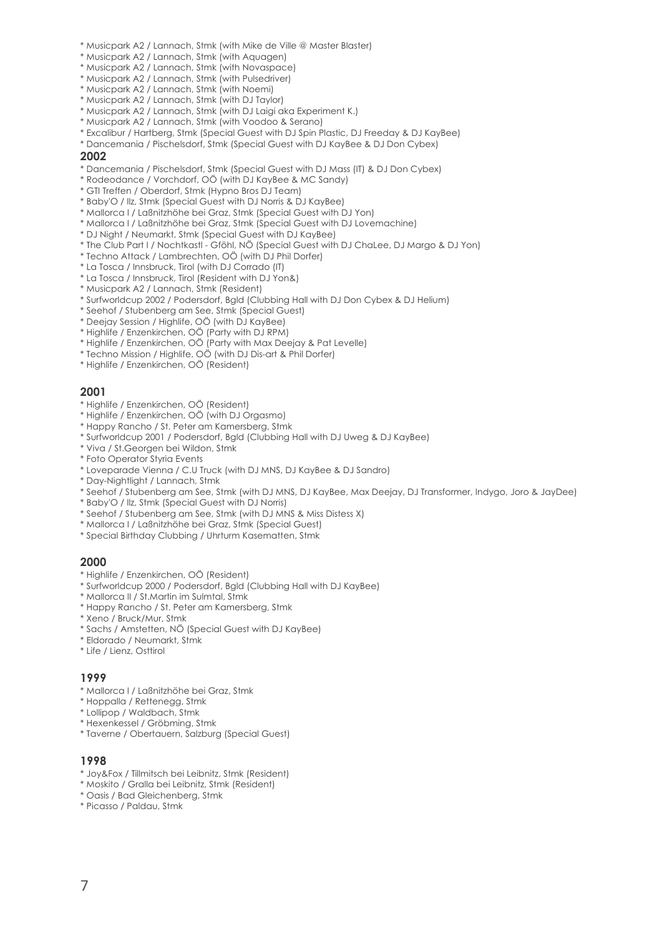- \* Musicpark A2 / Lannach, Stmk (with Mike de Ville @ Master Blaster)
- \* Musicpark A2 / Lannach, Stmk (with Aquagen)
- \* Musicpark A2 / Lannach, Stmk (with Novaspace)
- \* Musicpark A2 / Lannach, Stmk (with Pulsedriver)
- \* Musicpark A2 / Lannach, Stmk (with Noemi) \* Musicpark A2 / Lannach, Stmk (with DJ Taylor)
- \* Musicpark A2 / Lannach, Stmk (with DJ Laigi aka Experiment K.)
- \* Musicpark A2 / Lannach, Stmk (with Voodoo & Serano)
- \* Excalibur / Hartberg, Stmk (Special Guest with DJ Spin Plastic, DJ Freeday & DJ KayBee)
- \* Dancemania / Pischelsdorf, Stmk (Special Guest with DJ KayBee & DJ Don Cybex)

- \* Dancemania / Pischelsdorf, Stmk (Special Guest with DJ Mass (IT) & DJ Don Cybex)
- \* Rodeodance / Vorchdorf, OÖ (with DJ KayBee & MC Sandy)
- \* GTI Treffen / Oberdorf, Stmk (Hypno Bros DJ Team)
- \* Baby'O / Ilz, Stmk (Special Guest with DJ Norris & DJ KayBee)
- \* Mallorca I / Laßnitzhöhe bei Graz, Stmk (Special Guest with DJ Yon)
- \* Mallorca I / Laßnitzhöhe bei Graz, Stmk (Special Guest with DJ Lovemachine)
- \* DJ Night / Neumarkt, Stmk (Special Guest with DJ KayBee)
- \* The Club Part I / Nochtkastl Gföhl, NÖ (Special Guest with DJ ChaLee, DJ Margo & DJ Yon)
- \* Techno Attack / Lambrechten, OÖ (with DJ Phil Dorfer)
- \* La Tosca / Innsbruck, Tirol (with DJ Corrado (IT)
- \* La Tosca / Innsbruck, Tirol (Resident with DJ Yon&)
- \* Musicpark A2 / Lannach, Stmk (Resident)
- \* Surfworldcup 2002 / Podersdorf, Bgld (Clubbing Hall with DJ Don Cybex & DJ Helium)
- \* Seehof / Stubenberg am See, Stmk (Special Guest)
- \* Deejay Session / Highlife, OÖ (with DJ KayBee)
- \* Highlife / Enzenkirchen, OÖ (Party with DJ RPM)
- \* Highlife / Enzenkirchen, OÖ (Party with Max Deejay & Pat Levelle)
- \* Techno Mission / Highlife, OÖ (with DJ Dis-art & Phil Dorfer)
- \* Highlife / Enzenkirchen, OÖ (Resident)

#### **2001**

- \* Highlife / Enzenkirchen, OÖ (Resident)
- \* Highlife / Enzenkirchen, OÖ (with DJ Orgasmo)
- \* Happy Rancho / St. Peter am Kamersberg, Stmk
- \* Surfworldcup 2001 / Podersdorf, Bgld (Clubbing Hall with DJ Uweg & DJ KayBee)
- \* Viva / St.Georgen bei Wildon, Stmk
- \* Foto Operator Styria Events
- \* Loveparade Vienna / C.U Truck (with DJ MNS, DJ KayBee & DJ Sandro)
- \* Day-Nightlight / Lannach, Stmk
- \* Seehof / Stubenberg am See, Stmk (with DJ MNS, DJ KayBee, Max Deejay, DJ Transformer, Indygo, Joro & JayDee)
- \* Baby'O / Ilz, Stmk (Special Guest with DJ Norris)
- \* Seehof / Stubenberg am See, Stmk (with DJ MNS & Miss Distess X)
- \* Mallorca I / Laßnitzhöhe bei Graz, Stmk (Special Guest)
- \* Special Birthday Clubbing / Uhrturm Kasematten, Stmk

#### **2000**

- \* Highlife / Enzenkirchen, OÖ (Resident)
- \* Surfworldcup 2000 / Podersdorf, Bgld (Clubbing Hall with DJ KayBee)
- \* Mallorca II / St.Martin im Sulmtal, Stmk
- \* Happy Rancho / St. Peter am Kamersberg, Stmk
- \* Xeno / Bruck/Mur, Stmk
- \* Sachs / Amstetten, NÖ (Special Guest with DJ KayBee)
- \* Eldorado / Neumarkt, Stmk
- \* Life / Lienz, Osttirol

#### **1999**

- \* Mallorca I / Laßnitzhöhe bei Graz, Stmk
- \* Hoppalla / Rettenegg, Stmk
- \* Lollipop / Waldbach, Stmk
- \* Hexenkessel / Gröbming, Stmk
- \* Taverne / Obertauern, Salzburg (Special Guest)

- \* Joy&Fox / Tillmitsch bei Leibnitz, Stmk (Resident)
- \* Moskito / Gralla bei Leibnitz, Stmk (Resident)
- \* Oasis / Bad Gleichenberg, Stmk
- \* Picasso / Paldau, Stmk